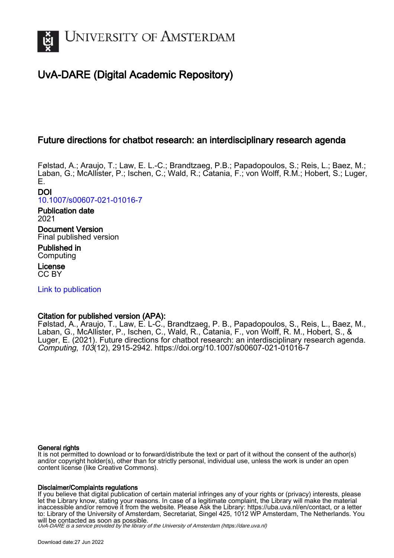

# UvA-DARE (Digital Academic Repository)

# Future directions for chatbot research: an interdisciplinary research agenda

Følstad, A.; Araujo, T.; Law, E. L.-C.; Brandtzaeg, P.B.; Papadopoulos, S.; Reis, L.; Baez, M.; Laban, G.; McAllister, P.; Ischen, C.; Wald, R.; Catania, F.; von Wolff, R.M.; Hobert, S.; Luger, E.

DOI [10.1007/s00607-021-01016-7](https://doi.org/10.1007/s00607-021-01016-7)

Publication date 2021 Document Version

Final published version Published in Computing

License CC BY

[Link to publication](https://dare.uva.nl/personal/pure/en/publications/future-directions-for-chatbot-research-an-interdisciplinary-research-agenda(dfed2f21-6dc3-41dd-b917-779f8447ddb3).html)

# Citation for published version (APA):

Følstad, A., Araujo, T., Law, E. L-C., Brandtzaeg, P. B., Papadopoulos, S., Reis, L., Baez, M., Laban, G., McAllister, P., Ischen, C., Wald, R., Catania, F., von Wolff, R. M., Hobert, S., & Luger, E. (2021). Future directions for chatbot research: an interdisciplinary research agenda. Computing, 103(12), 2915-2942. <https://doi.org/10.1007/s00607-021-01016-7>

# General rights

It is not permitted to download or to forward/distribute the text or part of it without the consent of the author(s) and/or copyright holder(s), other than for strictly personal, individual use, unless the work is under an open content license (like Creative Commons).

# Disclaimer/Complaints regulations

If you believe that digital publication of certain material infringes any of your rights or (privacy) interests, please let the Library know, stating your reasons. In case of a legitimate complaint, the Library will make the material inaccessible and/or remove it from the website. Please Ask the Library: https://uba.uva.nl/en/contact, or a letter to: Library of the University of Amsterdam, Secretariat, Singel 425, 1012 WP Amsterdam, The Netherlands. You will be contacted as soon as possible.

UvA-DARE is a service provided by the library of the University of Amsterdam (http*s*://dare.uva.nl)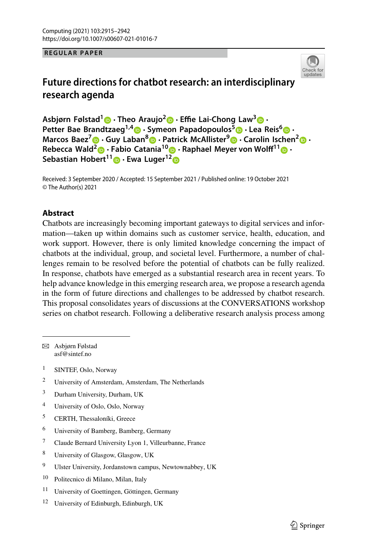**REGULAR PAPER**



# **Future directions for chatbot research: an interdisciplinary research agenda**

**Asbjørn Følstad<sup>1</sup> · Theo Araujo[2](http://orcid.org/0000-0002-4633-9339) · Effie Lai-Chong Law[3](http://orcid.org/0000-0002-0873-0150) · Petter Bae Brandtzaeg1,[4](http://orcid.org/0000-0002-9010-0800) · Symeon Papadopoulos[5](http://orcid.org/0000-0002-5441-7341) · Lea Reis<sup>6</sup> · Marcos Baez<sup>7</sup> · Guy Laban[8](http://orcid.org/0000-0002-3796-1804) · Patrick McAllister[9](http://orcid.org/0000-0002-0243-1555) · Carolin Ischen[2](http://orcid.org/0000-0002-4135-1777) · Rebecca Wald[2](http://orcid.org/0000-0003-2086-903X) · Fabio Catania<sup>10</sup> [·](http://orcid.org/0000-0001-7882-9415) Raphael Meyer von Wolff1[1](http://orcid.org/0000-0002-8233-6506) · Sebastian Hobert1[1](http://orcid.org/0000-0003-3621-0272) · Ewa Luger[12](http://orcid.org/0000-0002-5403-9002)**

Received: 3 September 2020 / Accepted: 15 September 2021 / Published online: 19 October 2021 © The Author(s) 2021

## **Abstract**

Chatbots are increasingly becoming important gateways to digital services and information—taken up within domains such as customer service, health, education, and work support. However, there is only limited knowledge concerning the impact of chatbots at the individual, group, and societal level. Furthermore, a number of challenges remain to be resolved before the potential of chatbots can be fully realized. In response, chatbots have emerged as a substantial research area in recent years. To help advance knowledge in this emerging research area, we propose a research agenda in the form of future directions and challenges to be addressed by chatbot research. This proposal consolidates years of discussions at the CONVERSATIONS workshop series on chatbot research. Following a deliberative research analysis process among

B Asbjørn Følstad asf@sintef.no

- <sup>1</sup> SINTEF, Oslo, Norway
- <sup>2</sup> University of Amsterdam, Amsterdam, The Netherlands
- <sup>3</sup> Durham University, Durham, UK
- <sup>4</sup> University of Oslo, Oslo, Norway
- <sup>5</sup> CERTH, Thessaloníki, Greece
- <sup>6</sup> University of Bamberg, Bamberg, Germany
- <sup>7</sup> Claude Bernard University Lyon 1, Villeurbanne, France
- <sup>8</sup> University of Glasgow, Glasgow, UK
- <sup>9</sup> Ulster University, Jordanstown campus, Newtownabbey, UK
- <sup>10</sup> Politecnico di Milano, Milan, Italy
- <sup>11</sup> University of Goettingen, Göttingen, Germany
- <sup>12</sup> University of Edinburgh, Edinburgh, UK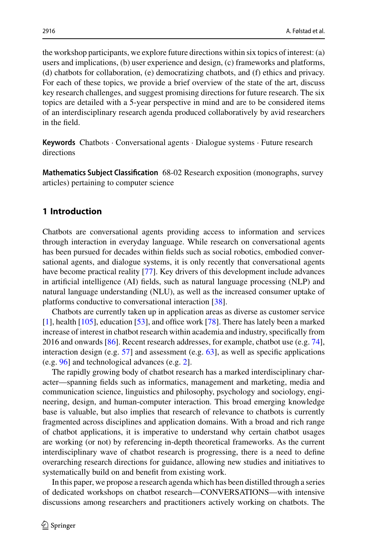the workshop participants, we explore future directions within six topics of interest: (a) users and implications, (b) user experience and design, (c) frameworks and platforms, (d) chatbots for collaboration, (e) democratizing chatbots, and (f) ethics and privacy. For each of these topics, we provide a brief overview of the state of the art, discuss key research challenges, and suggest promising directions for future research. The six topics are detailed with a 5-year perspective in mind and are to be considered items of an interdisciplinary research agenda produced collaboratively by avid researchers in the field.

**Keywords** Chatbots · Conversational agents · Dialogue systems · Future research directions

**Mathematics Subject Classification** 68-02 Research exposition (monographs, survey articles) pertaining to computer science

# **1 Introduction**

Chatbots are conversational agents providing access to information and services through interaction in everyday language. While research on conversational agents has been pursued for decades within fields such as social robotics, embodied conversational agents, and dialogue systems, it is only recently that conversational agents have become practical reality [\[77\]](#page-27-0). Key drivers of this development include advances in artificial intelligence (AI) fields, such as natural language processing (NLP) and natural language understanding (NLU), as well as the increased consumer uptake of platforms conductive to conversational interaction [\[38\]](#page-25-0).

Chatbots are currently taken up in application areas as diverse as customer service [\[1\]](#page-24-0), health [\[105\]](#page-28-0), education [\[53\]](#page-26-0), and office work [\[78\]](#page-27-1). There has lately been a marked increase of interest in chatbot research within academia and industry, specifically from 2016 and onwards [\[86\]](#page-27-2). Recent research addresses, for example, chatbot use (e.g. [74\]](#page-26-1), interaction design (e.g.  $57$ ) and assessment (e.g.  $63$ ), as well as specific applications (e.g. [96\]](#page-27-3) and technological advances (e.g. [2\]](#page-24-1).

The rapidly growing body of chatbot research has a marked interdisciplinary character—spanning fields such as informatics, management and marketing, media and communication science, linguistics and philosophy, psychology and sociology, engineering, design, and human-computer interaction. This broad emerging knowledge base is valuable, but also implies that research of relevance to chatbots is currently fragmented across disciplines and application domains. With a broad and rich range of chatbot applications, it is imperative to understand why certain chatbot usages are working (or not) by referencing in-depth theoretical frameworks. As the current interdisciplinary wave of chatbot research is progressing, there is a need to define overarching research directions for guidance, allowing new studies and initiatives to systematically build on and benefit from existing work.

In this paper, we propose a research agenda which has been distilled through a series of dedicated workshops on chatbot research—CONVERSATIONS—with intensive discussions among researchers and practitioners actively working on chatbots. The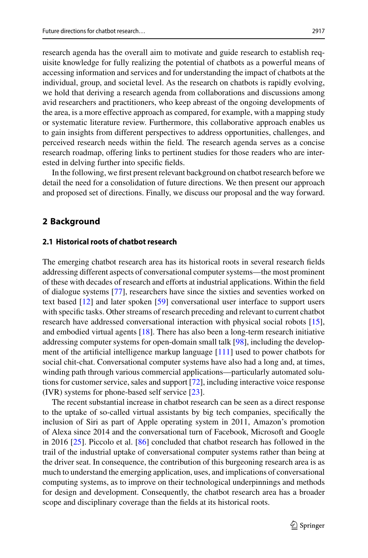accessing information and services and for understanding the impact of chatbots at the individual, group, and societal level. As the research on chatbots is rapidly evolving, we hold that deriving a research agenda from collaborations and discussions among avid researchers and practitioners, who keep abreast of the ongoing developments of the area, is a more effective approach as compared, for example, with a mapping study or systematic literature review. Furthermore, this collaborative approach enables us to gain insights from different perspectives to address opportunities, challenges, and perceived research needs within the field. The research agenda serves as a concise research roadmap, offering links to pertinent studies for those readers who are interested in delving further into specific fields.

In the following, we first present relevant background on chatbot research before we detail the need for a consolidation of future directions. We then present our approach and proposed set of directions. Finally, we discuss our proposal and the way forward.

# **2 Background**

### **2.1 Historical roots of chatbot research**

The emerging chatbot research area has its historical roots in several research fields addressing different aspects of conversational computer systems—the most prominent of these with decades of research and efforts at industrial applications. Within the field of dialogue systems [\[77\]](#page-27-0), researchers have since the sixties and seventies worked on text based [\[12\]](#page-24-2) and later spoken [\[59\]](#page-26-4) conversational user interface to support users with specific tasks. Other streams of research preceding and relevant to current chatbot research have addressed conversational interaction with physical social robots [\[15\]](#page-24-3), and embodied virtual agents [\[18\]](#page-24-4). There has also been a long-term research initiative addressing computer systems for open-domain small talk [\[98\]](#page-27-4), including the development of the artificial intelligence markup language [\[111\]](#page-28-1) used to power chatbots for social chit-chat. Conversational computer systems have also had a long and, at times, winding path through various commercial applications—particularly automated solutions for customer service, sales and support [\[72\]](#page-26-5), including interactive voice response (IVR) systems for phone-based self service [\[23\]](#page-24-5).

The recent substantial increase in chatbot research can be seen as a direct response to the uptake of so-called virtual assistants by big tech companies, specifically the inclusion of Siri as part of Apple operating system in 2011, Amazon's promotion of Alexa since 2014 and the conversational turn of Facebook, Microsoft and Google in 2016 [\[25\]](#page-24-6). Piccolo et al. [\[86\]](#page-27-2) concluded that chatbot research has followed in the trail of the industrial uptake of conversational computer systems rather than being at the driver seat. In consequence, the contribution of this burgeoning research area is as much to understand the emerging application, uses, and implications of conversational computing systems, as to improve on their technological underpinnings and methods for design and development. Consequently, the chatbot research area has a broader scope and disciplinary coverage than the fields at its historical roots.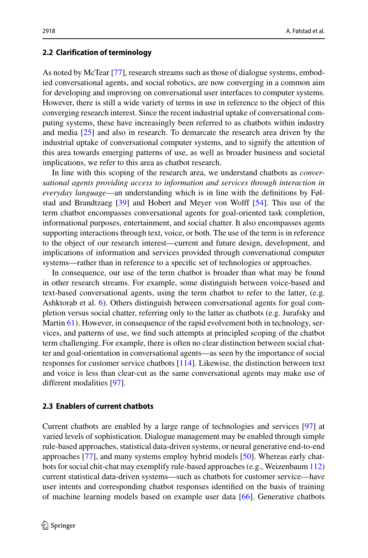#### **2.2 Clarification of terminology**

As noted by McTear [\[77\]](#page-27-0), research streams such as those of dialogue systems, embodied conversational agents, and social robotics, are now converging in a common aim for developing and improving on conversational user interfaces to computer systems. However, there is still a wide variety of terms in use in reference to the object of this converging research interest. Since the recent industrial uptake of conversational computing systems, these have increasingly been referred to as chatbots within industry and media [\[25\]](#page-24-6) and also in research. To demarcate the research area driven by the industrial uptake of conversational computer systems, and to signify the attention of this area towards emerging patterns of use, as well as broader business and societal implications, we refer to this area as chatbot research.

In line with this scoping of the research area, we understand chatbots as *conversational agents providing access to information and services through interaction in everyday language*—an understanding which is in line with the definitions by Følstad and Brandtzaeg [\[39\]](#page-25-1) and Hobert and Meyer von Wolff [\[54\]](#page-26-6). This use of the term chatbot encompasses conversational agents for goal-oriented task completion, informational purposes, entertainment, and social chatter. It also encompasses agents supporting interactions through text, voice, or both. The use of the term is in reference to the object of our research interest—current and future design, development, and implications of information and services provided through conversational computer systems—rather than in reference to a specific set of technologies or approaches.

In consequence, our use of the term chatbot is broader than what may be found in other research streams. For example, some distinguish between voice-based and text-based conversational agents, using the term chatbot to refer to the latter, (e.g. Ashktorab et al. [6\)](#page-24-7). Others distinguish between conversational agents for goal completion versus social chatter, referring only to the latter as chatbots (e.g. Jurafsky and Martin [61\)](#page-26-7). However, in consequence of the rapid evolvement both in technology, services, and patterns of use, we find such attempts at principled scoping of the chatbot term challenging. For example, there is often no clear distinction between social chatter and goal-orientation in conversational agents—as seen by the importance of social responses for customer service chatbots [\[114\]](#page-28-2). Likewise, the distinction between text and voice is less than clear-cut as the same conversational agents may make use of different modalities [\[97\]](#page-27-5).

## **2.3 Enablers of current chatbots**

Current chatbots are enabled by a large range of technologies and services [\[97\]](#page-27-5) at varied levels of sophistication. Dialogue management may be enabled through simple rule-based approaches, statistical data-driven systems, or neural generative end-to-end approaches [\[77\]](#page-27-0), and many systems employ hybrid models [\[50\]](#page-25-2). Whereas early chatbots for social chit-chat may exemplify rule-based approaches (e.g., Weizenbaum [112\)](#page-28-3) current statistical data-driven systems—such as chatbots for customer service—have user intents and corresponding chatbot responses identified on the basis of training of machine learning models based on example user data [\[66\]](#page-26-8). Generative chatbots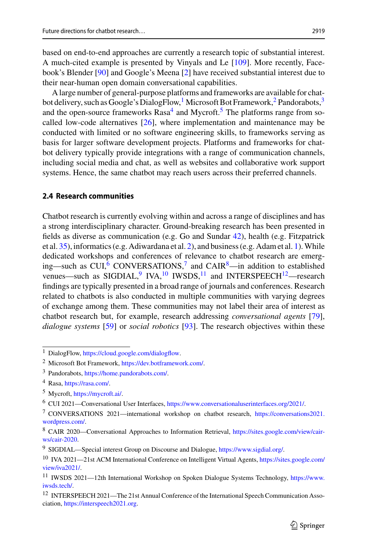based on end-to-end approaches are currently a research topic of substantial interest. A much-cited example is presented by Vinyals and Le [\[109\]](#page-28-4). More recently, Facebook's Blender [\[90\]](#page-27-6) and Google's Meena [\[2\]](#page-24-1) have received substantial interest due to their near-human open domain conversational capabilities.

A large number of general-purpose platforms and frameworks are available for chatbot delivery, such as Google's DialogFlow,<sup>1</sup> Microsoft Bot Framework,<sup>2</sup> Pandorabots,<sup>3</sup> and the open-source frameworks  $Rasa<sup>4</sup>$  $Rasa<sup>4</sup>$  $Rasa<sup>4</sup>$  and Mycroft.<sup>5</sup> The platforms range from socalled low-code alternatives  $[26]$ , where implementation and maintenance may be conducted with limited or no software engineering skills, to frameworks serving as basis for larger software development projects. Platforms and frameworks for chatbot delivery typically provide integrations with a range of communication channels, including social media and chat, as well as websites and collaborative work support systems. Hence, the same chatbot may reach users across their preferred channels.

## **2.4 Research communities**

Chatbot research is currently evolving within and across a range of disciplines and has a strong interdisciplinary character. Ground-breaking research has been presented in fields as diverse as communication (e.g. Go and Sundar [42\)](#page-25-4), health (e.g. Fitzpatrick et al. [35\)](#page-25-5), informatics (e.g. Adiwardana et al. [2\)](#page-24-1), and business (e.g. Adam et al. [1\)](#page-24-0).While dedicated workshops and conferences of relevance to chatbot research are emerging—such as  $CUI<sup>6</sup>$  $CUI<sup>6</sup>$  $CUI<sup>6</sup>$  CONVERSATIONS,<sup>7</sup> and CAIR<sup>8</sup>—in addition to established venues—such as SIGDIAL,  $\frac{9}{10}$  $\frac{9}{10}$  $\frac{9}{10}$  $\frac{9}{10}$  $\frac{9}{10}$  IW<sub>s</sub> I<sup>10</sup> and INTERSPEECH<sup>12</sup>—research findings are typically presented in a broad range of journals and conferences. Research related to chatbots is also conducted in multiple communities with varying degrees of exchange among them. These communities may not label their area of interest as chatbot research but, for example, research addressing *conversational agents* [\[79\]](#page-27-7), *dialogue systems* [\[59\]](#page-26-4) or *social robotics* [\[93\]](#page-27-8). The research objectives within these

<span id="page-5-1"></span><span id="page-5-0"></span><sup>1</sup> DialogFlow, [https://cloud.google.com/dialogflow.](https://cloud.google.com/dialogflow)

<span id="page-5-2"></span><sup>2</sup> Microsoft Bot Framework, [https://dev.botframework.com/.](https://dev.botframework.com/)

<span id="page-5-3"></span><sup>3</sup> Pandorabots, [https://home.pandorabots.com/.](https://home.pandorabots.com/)

<span id="page-5-4"></span><sup>4</sup> Rasa, [https://rasa.com/.](https://rasa.com/)

<span id="page-5-5"></span><sup>5</sup> Mycroft, [https://mycroft.ai/.](https://mycroft.ai/)

<span id="page-5-6"></span><sup>6</sup> CUI 2021—Conversational User Interfaces, [https://www.conversationaluserinterfaces.org/2021/.](https://www.conversationaluserinterfaces.org/2021/)

<span id="page-5-7"></span><sup>7</sup> [CONVERSATIONS 2021—international workshop on chatbot research,](https://conversations2021.wordpress.com/) https://conversations2021. wordpress.com/.

<span id="page-5-8"></span><sup>8</sup> [CAIR 2020—Conversational Approaches to Information Retrieval,](https://sites.google.com/view/cair-ws/cair-2020) https://sites.google.com/view/cairws/cair-2020.

<span id="page-5-9"></span><sup>9</sup> SIGDIAL—Special interest Group on Discourse and Dialogue, [https://www.sigdial.org/.](https://www.sigdial.org/)

<span id="page-5-10"></span><sup>10</sup> [IVA 2021—21st ACM International Conference on Intelligent Virtual Agents,](https://sites.google.com/view/iva2021/) https://sites.google.com/ view/iva2021/.

<span id="page-5-11"></span><sup>11</sup> [IWSDS 2021—12th International Workshop on Spoken Dialogue Systems Technology,](https://www.iwsds.tech/) https://www. iwsds.tech/.

<sup>&</sup>lt;sup>12</sup> INTERSPEECH 2021—The 21st Annual Conference of the International Speech Communication Association, [https://interspeech2021.org.](https://interspeech2021.org)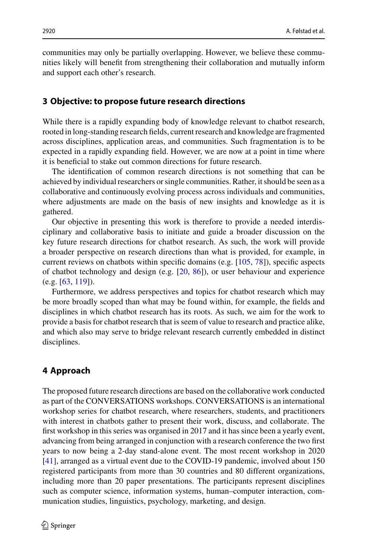communities may only be partially overlapping. However, we believe these communities likely will benefit from strengthening their collaboration and mutually inform and support each other's research.

## **3 Objective: to propose future research directions**

While there is a rapidly expanding body of knowledge relevant to chatbot research, rooted in long-standing research fields, current research and knowledge are fragmented across disciplines, application areas, and communities. Such fragmentation is to be expected in a rapidly expanding field. However, we are now at a point in time where it is beneficial to stake out common directions for future research.

The identification of common research directions is not something that can be achieved by individual researchers or single communities. Rather, it should be seen as a collaborative and continuously evolving process across individuals and communities, where adjustments are made on the basis of new insights and knowledge as it is gathered.

Our objective in presenting this work is therefore to provide a needed interdisciplinary and collaborative basis to initiate and guide a broader discussion on the key future research directions for chatbot research. As such, the work will provide a broader perspective on research directions than what is provided, for example, in current reviews on chatbots within specific domains (e.g. [\[105,](#page-28-0) [78\]](#page-27-1)), specific aspects of chatbot technology and design (e.g.  $[20, 86]$  $[20, 86]$  $[20, 86]$ ), or user behaviour and experience  $(e.g. [63, 119])$  $(e.g. [63, 119])$  $(e.g. [63, 119])$  $(e.g. [63, 119])$  $(e.g. [63, 119])$ .

Furthermore, we address perspectives and topics for chatbot research which may be more broadly scoped than what may be found within, for example, the fields and disciplines in which chatbot research has its roots. As such, we aim for the work to provide a basis for chatbot research that is seem of value to research and practice alike, and which also may serve to bridge relevant research currently embedded in distinct disciplines.

# **4 Approach**

The proposed future research directions are based on the collaborative work conducted as part of the CONVERSATIONS workshops. CONVERSATIONS is an international workshop series for chatbot research, where researchers, students, and practitioners with interest in chatbots gather to present their work, discuss, and collaborate. The first workshop in this series was organised in 2017 and it has since been a yearly event, advancing from being arranged in conjunction with a research conference the two first years to now being a 2-day stand-alone event. The most recent workshop in 2020 [\[41\]](#page-25-6), arranged as a virtual event due to the COVID-19 pandemic, involved about 150 registered participants from more than 30 countries and 80 different organizations, including more than 20 paper presentations. The participants represent disciplines such as computer science, information systems, human–computer interaction, communication studies, linguistics, psychology, marketing, and design.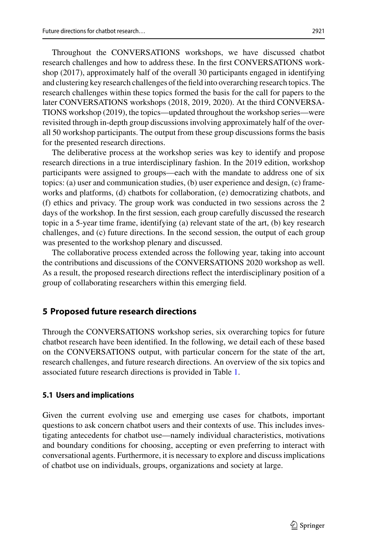Throughout the CONVERSATIONS workshops, we have discussed chatbot research challenges and how to address these. In the first CONVERSATIONS workshop (2017), approximately half of the overall 30 participants engaged in identifying and clustering key research challenges of the field into overarching research topics. The research challenges within these topics formed the basis for the call for papers to the later CONVERSATIONS workshops (2018, 2019, 2020). At the third CONVERSA-TIONS workshop (2019), the topics—updated throughout the workshop series—were revisited through in-depth group discussions involving approximately half of the overall 50 workshop participants. The output from these group discussions forms the basis for the presented research directions.

The deliberative process at the workshop series was key to identify and propose research directions in a true interdisciplinary fashion. In the 2019 edition, workshop participants were assigned to groups—each with the mandate to address one of six topics: (a) user and communication studies, (b) user experience and design, (c) frameworks and platforms, (d) chatbots for collaboration, (e) democratizing chatbots, and (f) ethics and privacy. The group work was conducted in two sessions across the 2 days of the workshop. In the first session, each group carefully discussed the research topic in a 5-year time frame, identifying (a) relevant state of the art, (b) key research challenges, and (c) future directions. In the second session, the output of each group was presented to the workshop plenary and discussed.

The collaborative process extended across the following year, taking into account the contributions and discussions of the CONVERSATIONS 2020 workshop as well. As a result, the proposed research directions reflect the interdisciplinary position of a group of collaborating researchers within this emerging field.

# <span id="page-7-0"></span>**5 Proposed future research directions**

Through the CONVERSATIONS workshop series, six overarching topics for future chatbot research have been identified. In the following, we detail each of these based on the CONVERSATIONS output, with particular concern for the state of the art, research challenges, and future research directions. An overview of the six topics and associated future research directions is provided in Table [1.](#page-8-0)

# **5.1 Users and implications**

Given the current evolving use and emerging use cases for chatbots, important questions to ask concern chatbot users and their contexts of use. This includes investigating antecedents for chatbot use—namely individual characteristics, motivations and boundary conditions for choosing, accepting or even preferring to interact with conversational agents. Furthermore, it is necessary to explore and discuss implications of chatbot use on individuals, groups, organizations and society at large.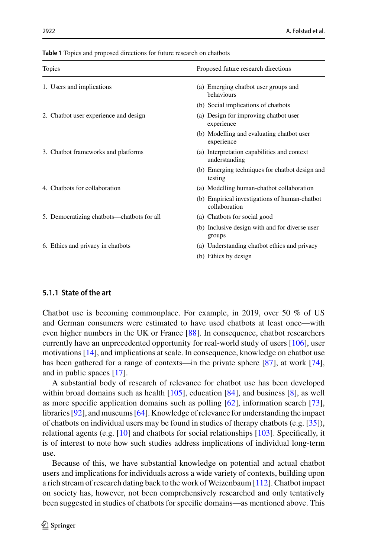| <b>Topics</b>                              | Proposed future research directions                            |
|--------------------------------------------|----------------------------------------------------------------|
| 1. Users and implications                  | (a) Emerging chatbot user groups and<br>behaviours             |
|                                            | (b) Social implications of chatbots                            |
| 2. Chatbot user experience and design      | (a) Design for improving chatbot user<br>experience            |
|                                            | (b) Modelling and evaluating chatbot user<br>experience        |
| 3. Chatbot frameworks and platforms        | (a) Interpretation capabilities and context<br>understanding   |
|                                            | (b) Emerging techniques for chatbot design and<br>testing      |
| 4. Chatbots for collaboration              | (a) Modelling human-chatbot collaboration                      |
|                                            | (b) Empirical investigations of human-chatbot<br>collaboration |
| 5. Democratizing chatbots—chatbots for all | (a) Chatbots for social good                                   |
|                                            | (b) Inclusive design with and for diverse user<br>groups       |
| 6. Ethics and privacy in chatbots          | (a) Understanding chatbot ethics and privacy                   |
|                                            | (b) Ethics by design                                           |

<span id="page-8-0"></span>**Table 1** Topics and proposed directions for future research on chatbots

#### **5.1.1 State of the art**

Chatbot use is becoming commonplace. For example, in 2019, over 50 % of US and German consumers were estimated to have used chatbots at least once—with even higher numbers in the UK or France [\[88\]](#page-27-9). In consequence, chatbot researchers currently have an unprecedented opportunity for real-world study of users [\[106\]](#page-28-6), user motivations [\[14\]](#page-24-9), and implications at scale. In consequence, knowledge on chatbot use has been gathered for a range of contexts—in the private sphere [\[87\]](#page-27-10), at work [\[74\]](#page-26-1), and in public spaces [\[17\]](#page-24-10).

A substantial body of research of relevance for chatbot use has been developed within broad domains such as health  $[105]$ , education  $[84]$ , and business  $[8]$ , as well as more specific application domains such as polling [\[62\]](#page-26-9), information search [\[73\]](#page-26-10), libraries [\[92\]](#page-27-12), and museums [\[64\]](#page-26-11). Knowledge of relevance for understanding the impact of chatbots on individual users may be found in studies of therapy chatbots (e.g. [\[35\]](#page-25-5)), relational agents (e.g. [\[10\]](#page-24-12) and chatbots for social relationships [\[103\]](#page-28-7). Specifically, it is of interest to note how such studies address implications of individual long-term use.

Because of this, we have substantial knowledge on potential and actual chatbot users and implications for individuals across a wide variety of contexts, building upon a rich stream of research dating back to the work of Weizenbaum [\[112\]](#page-28-3). Chatbot impact on society has, however, not been comprehensively researched and only tentatively been suggested in studies of chatbots for specific domains—as mentioned above. This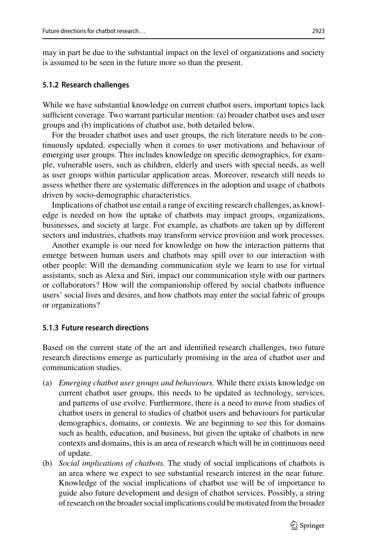may in part be due to the substantial impact on the level of organizations and society is assumed to be seen in the future more so than the present.

#### **5.1.2 Research challenges**

While we have substantial knowledge on current chatbot users, important topics lack sufficient coverage. Two warrant particular mention: (a) broader chatbot uses and user groups and (b) implications of chatbot use, both detailed below.

For the broader chatbot uses and user groups, the rich literature needs to be continuously updated, especially when it comes to user motivations and behaviour of emerging user groups. This includes knowledge on specific demographics, for example, vulnerable users, such as children, elderly and users with special needs, as well as user groups within particular application areas. Moreover, research still needs to assess whether there are systematic differences in the adoption and usage of chatbots driven by socio-demographic characteristics.

Implications of chatbot use entail a range of exciting research challenges, as knowledge is needed on how the uptake of chatbots may impact groups, organizations, businesses, and society at large. For example, as chatbots are taken up by different sectors and industries, chatbots may transform service provision and work processes.

Another example is our need for knowledge on how the interaction patterns that emerge between human users and chatbots may spill over to our interaction with other people: Will the demanding communication style we learn to use for virtual assistants, such as Alexa and Siri, impact our communication style with our partners or collaborators? How will the companionship offered by social chatbots influence users' social lives and desires, and how chatbots may enter the social fabric of groups or organizations?

## **5.1.3 Future research directions**

Based on the current state of the art and identified research challenges, two future research directions emerge as particularly promising in the area of chatbot user and communication studies.

- (a) *Emerging chatbot user groups and behaviours.* While there exists knowledge on current chatbot user groups, this needs to be updated as technology, services, and patterns of use evolve. Furthermore, there is a need to move from studies of chatbot users in general to studies of chatbot users and behaviours for particular demographics, domains, or contexts. We are beginning to see this for domains such as health, education, and business, but given the uptake of chatbots in new contexts and domains, this is an area of research which will be in continuous need of update.
- (b) *Social implications of chatbots.* The study of social implications of chatbots is an area where we expect to see substantial research interest in the near future. Knowledge of the social implications of chatbot use will be of importance to guide also future development and design of chatbot services. Possibly, a string of research on the broader social implications could be motivated from the broader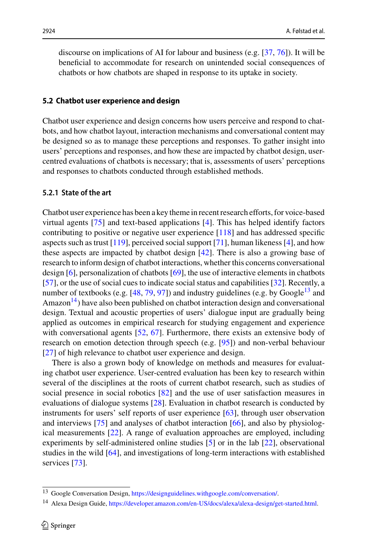discourse on implications of AI for labour and business (e.g. [\[37,](#page-25-7) [76\]](#page-26-12)). It will be beneficial to accommodate for research on unintended social consequences of chatbots or how chatbots are shaped in response to its uptake in society.

#### **5.2 Chatbot user experience and design**

Chatbot user experience and design concerns how users perceive and respond to chatbots, and how chatbot layout, interaction mechanisms and conversational content may be designed so as to manage these perceptions and responses. To gather insight into users' perceptions and responses, and how these are impacted by chatbot design, usercentred evaluations of chatbots is necessary; that is, assessments of users' perceptions and responses to chatbots conducted through established methods.

## **5.2.1 State of the art**

Chatbot user experience has been a key theme in recent research efforts, for voice-based virtual agents [\[75\]](#page-26-13) and text-based applications [\[4\]](#page-24-13). This has helped identify factors contributing to positive or negative user experience [\[118\]](#page-28-8) and has addressed specific aspects such as trust  $[119]$ , perceived social support  $[71]$ , human likeness  $[4]$ , and how these aspects are impacted by chatbot design [\[42\]](#page-25-4). There is also a growing base of research to inform design of chatbot interactions, whether this concerns conversational design [\[6\]](#page-24-7), personalization of chatbots [\[69\]](#page-26-15), the use of interactive elements in chatbots [\[57\]](#page-26-2), or the use of social cues to indicate social status and capabilities [\[32\]](#page-25-8). Recently, a number of textbooks (e.g.  $[48, 79, 97]$  $[48, 79, 97]$  $[48, 79, 97]$  $[48, 79, 97]$  $[48, 79, 97]$ ) and industry guidelines (e.g. by Google<sup>13</sup> and Amazon<sup>14</sup>) have also been published on chatbot interaction design and conversational design. Textual and acoustic properties of users' dialogue input are gradually being applied as outcomes in empirical research for studying engagement and experience with conversational agents [\[52,](#page-25-10) [67\]](#page-26-16). Furthermore, there exists an extensive body of research on emotion detection through speech (e.g. [\[95\]](#page-27-13)) and non-verbal behaviour [\[27\]](#page-25-11) of high relevance to chatbot user experience and design.

There is also a grown body of knowledge on methods and measures for evaluating chatbot user experience. User-centred evaluation has been key to research within several of the disciplines at the roots of current chatbot research, such as studies of social presence in social robotics [\[82\]](#page-27-14) and the use of user satisfaction measures in evaluations of dialogue systems [\[28\]](#page-25-12). Evaluation in chatbot research is conducted by instruments for users' self reports of user experience [\[63\]](#page-26-3), through user observation and interviews [\[75\]](#page-26-13) and analyses of chatbot interaction [\[66\]](#page-26-8), and also by physiological measurements [\[22\]](#page-24-14). A range of evaluation approaches are employed, including experiments by self-administered online studies [\[5\]](#page-24-15) or in the lab [\[22\]](#page-24-14), observational studies in the wild [\[64\]](#page-26-11), and investigations of long-term interactions with established services [\[73\]](#page-26-10).

<span id="page-10-1"></span><span id="page-10-0"></span><sup>13</sup> Google Conversation Design, [https://designguidelines.withgoogle.com/conversation/.](https://designguidelines.withgoogle.com/conversation/)

<sup>14</sup> Alexa Design Guide, [https://developer.amazon.com/en-US/docs/alexa/alexa-design/get-started.html.](https://developer.amazon.com/en-US/docs/alexa/alexa-design/get-started.html)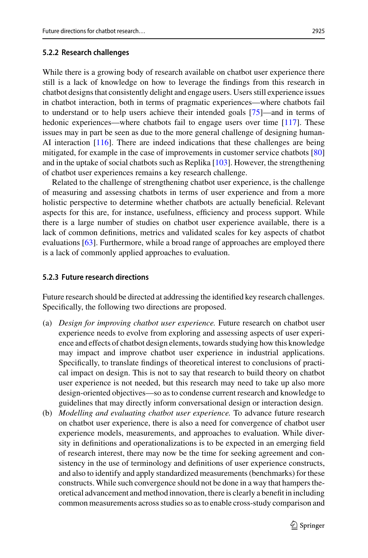While there is a growing body of research available on chatbot user experience there still is a lack of knowledge on how to leverage the findings from this research in chatbot designs that consistently delight and engage users. Users still experience issues in chatbot interaction, both in terms of pragmatic experiences—where chatbots fail to understand or to help users achieve their intended goals [\[75\]](#page-26-13)—and in terms of hedonic experiences—where chatbots fail to engage users over time [\[117\]](#page-28-9). These issues may in part be seen as due to the more general challenge of designing human-AI interaction [\[116\]](#page-28-10). There are indeed indications that these challenges are being mitigated, for example in the case of improvements in customer service chatbots [\[80\]](#page-27-15) and in the uptake of social chatbots such as Replika [\[103\]](#page-28-7). However, the strengthening of chatbot user experiences remains a key research challenge.

Related to the challenge of strengthening chatbot user experience, is the challenge of measuring and assessing chatbots in terms of user experience and from a more holistic perspective to determine whether chatbots are actually beneficial. Relevant aspects for this are, for instance, usefulness, efficiency and process support. While there is a large number of studies on chatbot user experience available, there is a lack of common definitions, metrics and validated scales for key aspects of chatbot evaluations [\[63\]](#page-26-3). Furthermore, while a broad range of approaches are employed there is a lack of commonly applied approaches to evaluation.

#### **5.2.3 Future research directions**

Future research should be directed at addressing the identified key research challenges. Specifically, the following two directions are proposed.

- (a) *Design for improving chatbot user experience.* Future research on chatbot user experience needs to evolve from exploring and assessing aspects of user experience and effects of chatbot design elements, towards studying how this knowledge may impact and improve chatbot user experience in industrial applications. Specifically, to translate findings of theoretical interest to conclusions of practical impact on design. This is not to say that research to build theory on chatbot user experience is not needed, but this research may need to take up also more design-oriented objectives—so as to condense current research and knowledge to guidelines that may directly inform conversational design or interaction design.
- (b) *Modelling and evaluating chatbot user experience.* To advance future research on chatbot user experience, there is also a need for convergence of chatbot user experience models, measurements, and approaches to evaluation. While diversity in definitions and operationalizations is to be expected in an emerging field of research interest, there may now be the time for seeking agreement and consistency in the use of terminology and definitions of user experience constructs, and also to identify and apply standardized measurements (benchmarks) for these constructs. While such convergence should not be done in a way that hampers theoretical advancement and method innovation, there is clearly a benefit in including common measurements across studies so as to enable cross-study comparison and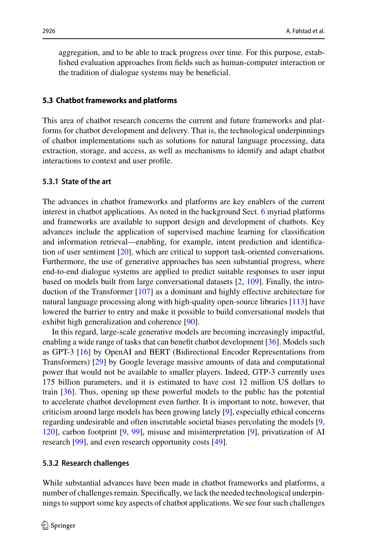aggregation, and to be able to track progress over time. For this purpose, established evaluation approaches from fields such as human-computer interaction or the tradition of dialogue systems may be beneficial.

#### **5.3 Chatbot frameworks and platforms**

This area of chatbot research concerns the current and future frameworks and platforms for chatbot development and delivery. That is, the technological underpinnings of chatbot implementations such as solutions for natural language processing, data extraction, storage, and access, as well as mechanisms to identify and adapt chatbot interactions to context and user profile.

## **5.3.1 State of the art**

The advances in chatbot frameworks and platforms are key enablers of the current interest in chatbot applications. As noted in the background Sect. [6](#page-7-0) myriad platforms and frameworks are available to support design and development of chatbots. Key advances include the application of supervised machine learning for classification and information retrieval—enabling, for example, intent prediction and identification of user sentiment [\[20\]](#page-24-8), which are critical to support task-oriented conversations. Furthermore, the use of generative approaches has seen substantial progress, where end-to-end dialogue systems are applied to predict suitable responses to user input based on models built from large conversational datasets [\[2,](#page-24-1) [109\]](#page-28-4). Finally, the introduction of the Transformer [\[107\]](#page-28-11) as a dominant and highly effective architecture for natural language processing along with high-quality open-source libraries [\[113\]](#page-28-12) have lowered the barrier to entry and make it possible to build conversational models that exhibit high generalization and coherence [\[90\]](#page-27-6).

In this regard, large-scale generative models are becoming increasingly impactful, enabling a wide range of tasks that can benefit chatbot development [\[36\]](#page-25-13). Models such as GPT-3 [\[16\]](#page-24-16) by OpenAI and BERT (Bidirectional Encoder Representations from Transformers) [\[29\]](#page-25-14) by Google leverage massive amounts of data and computational power that would not be available to smaller players. Indeed, GTP-3 currently uses 175 billion parameters, and it is estimated to have cost 12 million US dollars to train [\[36\]](#page-25-13). Thus, opening up these powerful models to the public has the potential to accelerate chatbot development even further. It is important to note, however, that criticism around large models has been growing lately [\[9\]](#page-24-17), especially ethical concerns regarding undesirable and often inscrutable societal biases percolating the models [\[9,](#page-24-17) [120\]](#page-28-13), carbon footprint [\[9,](#page-24-17) [99\]](#page-27-16), misuse and misinterpretation [\[9\]](#page-24-17), privatization of AI research [\[99\]](#page-27-16), and even research opportunity costs [\[49\]](#page-25-15).

#### **5.3.2 Research challenges**

While substantial advances have been made in chatbot frameworks and platforms, a number of challenges remain. Specifically, we lack the needed technological underpinnings to support some key aspects of chatbot applications. We see four such challenges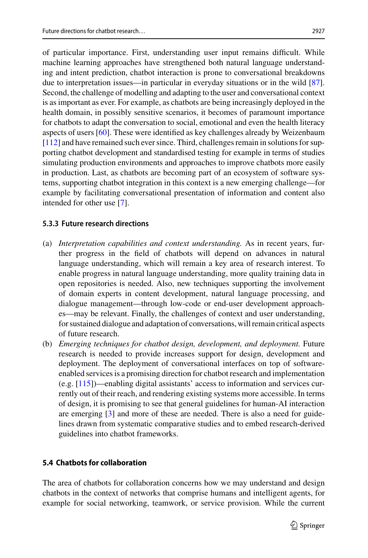of particular importance. First, understanding user input remains difficult. While machine learning approaches have strengthened both natural language understanding and intent prediction, chatbot interaction is prone to conversational breakdowns due to interpretation issues—in particular in everyday situations or in the wild [\[87\]](#page-27-10). Second, the challenge of modelling and adapting to the user and conversational context is as important as ever. For example, as chatbots are being increasingly deployed in the health domain, in possibly sensitive scenarios, it becomes of paramount importance for chatbots to adapt the conversation to social, emotional and even the health literacy aspects of users [\[60\]](#page-26-17). These were identified as key challenges already by Weizenbaum [\[112\]](#page-28-3) and have remained such ever since. Third, challenges remain in solutions for supporting chatbot development and standardised testing for example in terms of studies simulating production environments and approaches to improve chatbots more easily in production. Last, as chatbots are becoming part of an ecosystem of software systems, supporting chatbot integration in this context is a new emerging challenge—for example by facilitating conversational presentation of information and content also intended for other use [\[7\]](#page-24-18).

# **5.3.3 Future research directions**

- (a) *Interpretation capabilities and context understanding.* As in recent years, further progress in the field of chatbots will depend on advances in natural language understanding, which will remain a key area of research interest. To enable progress in natural language understanding, more quality training data in open repositories is needed. Also, new techniques supporting the involvement of domain experts in content development, natural language processing, and dialogue management—through low-code or end-user development approaches—may be relevant. Finally, the challenges of context and user understanding, for sustained dialogue and adaptation of conversations, will remain critical aspects of future research.
- (b) *Emerging techniques for chatbot design, development, and deployment.* Future research is needed to provide increases support for design, development and deployment. The deployment of conversational interfaces on top of softwareenabled services is a promising direction for chatbot research and implementation (e.g. [\[115\]](#page-28-14))—enabling digital assistants' access to information and services currently out of their reach, and rendering existing systems more accessible. In terms of design, it is promising to see that general guidelines for human-AI interaction are emerging [\[3\]](#page-24-19) and more of these are needed. There is also a need for guidelines drawn from systematic comparative studies and to embed research-derived guidelines into chatbot frameworks.

# **5.4 Chatbots for collaboration**

The area of chatbots for collaboration concerns how we may understand and design chatbots in the context of networks that comprise humans and intelligent agents, for example for social networking, teamwork, or service provision. While the current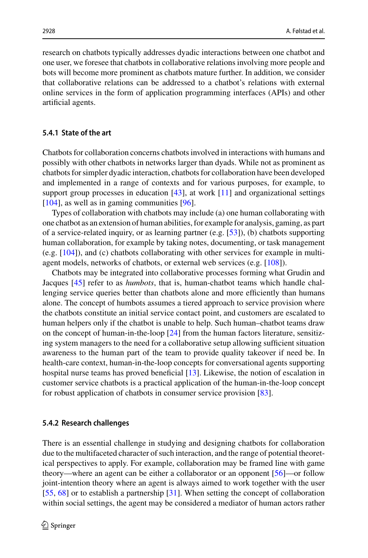research on chatbots typically addresses dyadic interactions between one chatbot and one user, we foresee that chatbots in collaborative relations involving more people and bots will become more prominent as chatbots mature further. In addition, we consider that collaborative relations can be addressed to a chatbot's relations with external online services in the form of application programming interfaces (APIs) and other artificial agents.

## **5.4.1 State of the art**

Chatbots for collaboration concerns chatbots involved in interactions with humans and possibly with other chatbots in networks larger than dyads. While not as prominent as chatbots for simpler dyadic interaction, chatbots for collaboration have been developed and implemented in a range of contexts and for various purposes, for example, to support group processes in education [\[43\]](#page-25-16), at work [\[11\]](#page-24-20) and organizational settings [\[104\]](#page-28-15), as well as in gaming communities [\[96\]](#page-27-3).

Types of collaboration with chatbots may include (a) one human collaborating with one chatbot as an extension of human abilities, for example for analysis, gaming, as part of a service-related inquiry, or as learning partner (e.g. [\[53\]](#page-26-0)), (b) chatbots supporting human collaboration, for example by taking notes, documenting, or task management (e.g. [\[104\]](#page-28-15)), and (c) chatbots collaborating with other services for example in multiagent models, networks of chatbots, or external web services (e.g. [\[108\]](#page-28-16)).

Chatbots may be integrated into collaborative processes forming what Grudin and Jacques [\[45\]](#page-25-17) refer to as *humbots*, that is, human-chatbot teams which handle challenging service queries better than chatbots alone and more efficiently than humans alone. The concept of humbots assumes a tiered approach to service provision where the chatbots constitute an initial service contact point, and customers are escalated to human helpers only if the chatbot is unable to help. Such human–chatbot teams draw on the concept of human-in-the-loop [\[24\]](#page-24-21) from the human factors literature, sensitizing system managers to the need for a collaborative setup allowing sufficient situation awareness to the human part of the team to provide quality takeover if need be. In health-care context, human-in-the-loop concepts for conversational agents supporting hospital nurse teams has proved beneficial [\[13\]](#page-24-22). Likewise, the notion of escalation in customer service chatbots is a practical application of the human-in-the-loop concept for robust application of chatbots in consumer service provision [\[83\]](#page-27-17).

#### **5.4.2 Research challenges**

There is an essential challenge in studying and designing chatbots for collaboration due to the multifaceted character of such interaction, and the range of potential theoretical perspectives to apply. For example, collaboration may be framed line with game theory—where an agent can be either a collaborator or an opponent [\[56\]](#page-26-18)—or follow joint-intention theory where an agent is always aimed to work together with the user [\[55,](#page-26-19) [68\]](#page-26-20) or to establish a partnership [\[31\]](#page-25-18). When setting the concept of collaboration within social settings, the agent may be considered a mediator of human actors rather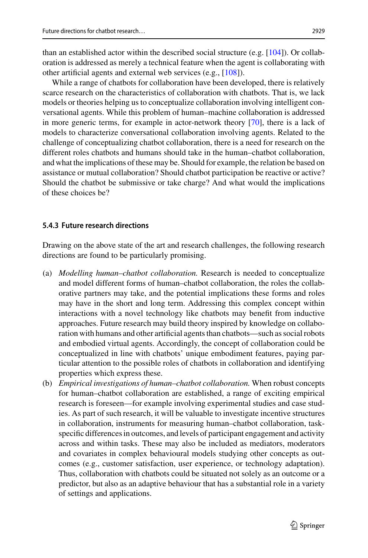than an established actor within the described social structure (e.g.  $[104]$ ). Or collaboration is addressed as merely a technical feature when the agent is collaborating with other artificial agents and external web services (e.g., [\[108\]](#page-28-16)).

While a range of chatbots for collaboration have been developed, there is relatively scarce research on the characteristics of collaboration with chatbots. That is, we lack models or theories helping us to conceptualize collaboration involving intelligent conversational agents. While this problem of human–machine collaboration is addressed in more generic terms, for example in actor-network theory [\[70\]](#page-26-21), there is a lack of models to characterize conversational collaboration involving agents. Related to the challenge of conceptualizing chatbot collaboration, there is a need for research on the different roles chatbots and humans should take in the human–chatbot collaboration, and what the implications of these may be. Should for example, the relation be based on assistance or mutual collaboration? Should chatbot participation be reactive or active? Should the chatbot be submissive or take charge? And what would the implications of these choices be?

## **5.4.3 Future research directions**

Drawing on the above state of the art and research challenges, the following research directions are found to be particularly promising.

- (a) *Modelling human–chatbot collaboration.* Research is needed to conceptualize and model different forms of human–chatbot collaboration, the roles the collaborative partners may take, and the potential implications these forms and roles may have in the short and long term. Addressing this complex concept within interactions with a novel technology like chatbots may benefit from inductive approaches. Future research may build theory inspired by knowledge on collaboration with humans and other artificial agents than chatbots—such as social robots and embodied virtual agents. Accordingly, the concept of collaboration could be conceptualized in line with chatbots' unique embodiment features, paying particular attention to the possible roles of chatbots in collaboration and identifying properties which express these.
- (b) *Empirical investigations of human–chatbot collaboration.* When robust concepts for human–chatbot collaboration are established, a range of exciting empirical research is foreseen—for example involving experimental studies and case studies. As part of such research, it will be valuable to investigate incentive structures in collaboration, instruments for measuring human–chatbot collaboration, taskspecific differences in outcomes, and levels of participant engagement and activity across and within tasks. These may also be included as mediators, moderators and covariates in complex behavioural models studying other concepts as outcomes (e.g., customer satisfaction, user experience, or technology adaptation). Thus, collaboration with chatbots could be situated not solely as an outcome or a predictor, but also as an adaptive behaviour that has a substantial role in a variety of settings and applications.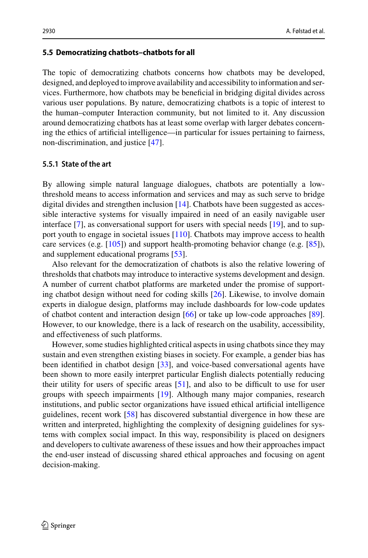#### **5.5 Democratizing chatbots–chatbots for all**

The topic of democratizing chatbots concerns how chatbots may be developed, designed, and deployed to improve availability and accessibility to information and services. Furthermore, how chatbots may be beneficial in bridging digital divides across various user populations. By nature, democratizing chatbots is a topic of interest to the human–computer Interaction community, but not limited to it. Any discussion around democratizing chatbots has at least some overlap with larger debates concerning the ethics of artificial intelligence—in particular for issues pertaining to fairness, non-discrimination, and justice [\[47\]](#page-25-19).

#### **5.5.1 State of the art**

By allowing simple natural language dialogues, chatbots are potentially a lowthreshold means to access information and services and may as such serve to bridge digital divides and strengthen inclusion [\[14\]](#page-24-9). Chatbots have been suggested as accessible interactive systems for visually impaired in need of an easily navigable user interface [\[7\]](#page-24-18), as conversational support for users with special needs [\[19\]](#page-24-23), and to support youth to engage in societal issues [\[110\]](#page-28-17). Chatbots may improve access to health care services (e.g. [\[105\]](#page-28-0)) and support health-promoting behavior change (e.g. [\[85\]](#page-27-18)), and supplement educational programs [\[53\]](#page-26-0).

Also relevant for the democratization of chatbots is also the relative lowering of thresholds that chatbots may introduce to interactive systems development and design. A number of current chatbot platforms are marketed under the promise of supporting chatbot design without need for coding skills [\[26\]](#page-25-3). Likewise, to involve domain experts in dialogue design, platforms may include dashboards for low-code updates of chatbot content and interaction design [\[66\]](#page-26-8) or take up low-code approaches [\[89\]](#page-27-19). However, to our knowledge, there is a lack of research on the usability, accessibility, and effectiveness of such platforms.

However, some studies highlighted critical aspects in using chatbots since they may sustain and even strengthen existing biases in society. For example, a gender bias has been identified in chatbot design [\[33\]](#page-25-20), and voice-based conversational agents have been shown to more easily interpret particular English dialects potentially reducing their utility for users of specific areas [\[51\]](#page-25-21), and also to be difficult to use for user groups with speech impairments [\[19\]](#page-24-23). Although many major companies, research institutions, and public sector organizations have issued ethical artificial intelligence guidelines, recent work [\[58\]](#page-26-22) has discovered substantial divergence in how these are written and interpreted, highlighting the complexity of designing guidelines for systems with complex social impact. In this way, responsibility is placed on designers and developers to cultivate awareness of these issues and how their approaches impact the end-user instead of discussing shared ethical approaches and focusing on agent decision-making.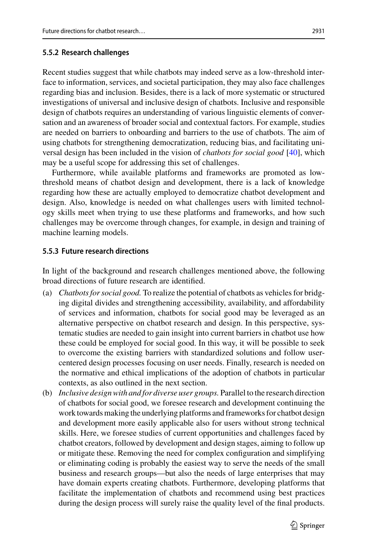## **5.5.2 Research challenges**

Recent studies suggest that while chatbots may indeed serve as a low-threshold interface to information, services, and societal participation, they may also face challenges regarding bias and inclusion. Besides, there is a lack of more systematic or structured investigations of universal and inclusive design of chatbots. Inclusive and responsible design of chatbots requires an understanding of various linguistic elements of conversation and an awareness of broader social and contextual factors. For example, studies are needed on barriers to onboarding and barriers to the use of chatbots. The aim of using chatbots for strengthening democratization, reducing bias, and facilitating universal design has been included in the vision of *chatbots for social good* [\[40\]](#page-25-22), which may be a useful scope for addressing this set of challenges.

Furthermore, while available platforms and frameworks are promoted as lowthreshold means of chatbot design and development, there is a lack of knowledge regarding how these are actually employed to democratize chatbot development and design. Also, knowledge is needed on what challenges users with limited technology skills meet when trying to use these platforms and frameworks, and how such challenges may be overcome through changes, for example, in design and training of machine learning models.

## **5.5.3 Future research directions**

In light of the background and research challenges mentioned above, the following broad directions of future research are identified.

- (a) *Chatbots for social good.* To realize the potential of chatbots as vehicles for bridging digital divides and strengthening accessibility, availability, and affordability of services and information, chatbots for social good may be leveraged as an alternative perspective on chatbot research and design. In this perspective, systematic studies are needed to gain insight into current barriers in chatbot use how these could be employed for social good. In this way, it will be possible to seek to overcome the existing barriers with standardized solutions and follow usercentered design processes focusing on user needs. Finally, research is needed on the normative and ethical implications of the adoption of chatbots in particular contexts, as also outlined in the next section.
- (b) *Inclusive design with and for diverse user groups.* Parallel to the research direction of chatbots for social good, we foresee research and development continuing the work towards making the underlying platforms and frameworks for chatbot design and development more easily applicable also for users without strong technical skills. Here, we foresee studies of current opportunities and challenges faced by chatbot creators, followed by development and design stages, aiming to follow up or mitigate these. Removing the need for complex configuration and simplifying or eliminating coding is probably the easiest way to serve the needs of the small business and research groups—but also the needs of large enterprises that may have domain experts creating chatbots. Furthermore, developing platforms that facilitate the implementation of chatbots and recommend using best practices during the design process will surely raise the quality level of the final products.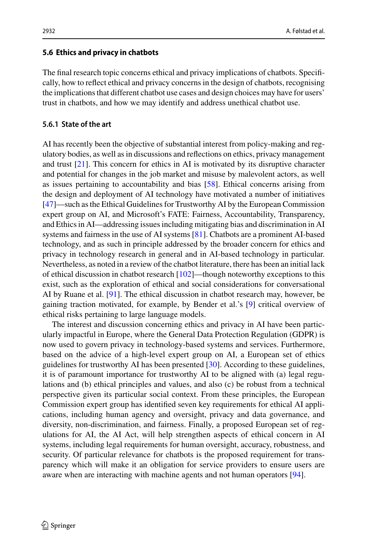## **5.6 Ethics and privacy in chatbots**

The final research topic concerns ethical and privacy implications of chatbots. Specifically, how to reflect ethical and privacy concerns in the design of chatbots, recognising the implications that different chatbot use cases and design choices may have for users' trust in chatbots, and how we may identify and address unethical chatbot use.

## **5.6.1 State of the art**

AI has recently been the objective of substantial interest from policy-making and regulatory bodies, as well as in discussions and reflections on ethics, privacy management and trust [\[21\]](#page-24-24). This concern for ethics in AI is motivated by its disruptive character and potential for changes in the job market and misuse by malevolent actors, as well as issues pertaining to accountability and bias [\[58\]](#page-26-22). Ethical concerns arising from the design and deployment of AI technology have motivated a number of initiatives [\[47\]](#page-25-19)—such as the Ethical Guidelines for Trustworthy AI by the European Commission expert group on AI, and Microsoft's FATE: Fairness, Accountability, Transparency, and Ethics in AI—addressing issues including mitigating bias and discrimination in AI systems and fairness in the use of AI systems [\[81\]](#page-27-20). Chatbots are a prominent AI-based technology, and as such in principle addressed by the broader concern for ethics and privacy in technology research in general and in AI-based technology in particular. Nevertheless, as noted in a review of the chatbot literature, there has been an initial lack of ethical discussion in chatbot research [\[102\]](#page-28-18)—though noteworthy exceptions to this exist, such as the exploration of ethical and social considerations for conversational AI by Ruane et al. [\[91\]](#page-27-21). The ethical discussion in chatbot research may, however, be gaining traction motivated, for example, by Bender et al.'s [\[9\]](#page-24-17) critical overview of ethical risks pertaining to large language models.

The interest and discussion concerning ethics and privacy in AI have been particularly impactful in Europe, where the General Data Protection Regulation (GDPR) is now used to govern privacy in technology-based systems and services. Furthermore, based on the advice of a high-level expert group on AI, a European set of ethics guidelines for trustworthy AI has been presented [\[30\]](#page-25-23). According to these guidelines, it is of paramount importance for trustworthy AI to be aligned with (a) legal regulations and (b) ethical principles and values, and also (c) be robust from a technical perspective given its particular social context. From these principles, the European Commission expert group has identified seven key requirements for ethical AI applications, including human agency and oversight, privacy and data governance, and diversity, non-discrimination, and fairness. Finally, a proposed European set of regulations for AI, the AI Act, will help strengthen aspects of ethical concern in AI systems, including legal requirements for human oversight, accuracy, robustness, and security. Of particular relevance for chatbots is the proposed requirement for transparency which will make it an obligation for service providers to ensure users are aware when are interacting with machine agents and not human operators [\[94\]](#page-27-22).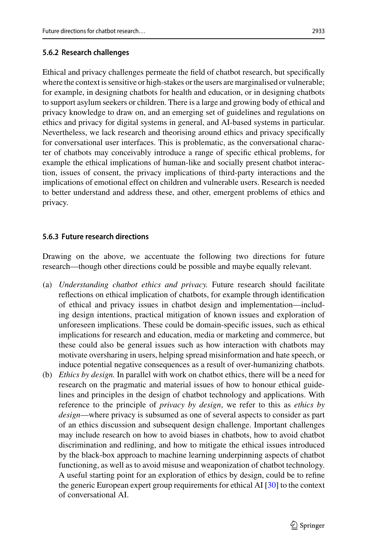Ethical and privacy challenges permeate the field of chatbot research, but specifically where the context is sensitive or high-stakes or the users are marginalised or vulnerable; for example, in designing chatbots for health and education, or in designing chatbots to support asylum seekers or children. There is a large and growing body of ethical and privacy knowledge to draw on, and an emerging set of guidelines and regulations on ethics and privacy for digital systems in general, and AI-based systems in particular. Nevertheless, we lack research and theorising around ethics and privacy specifically for conversational user interfaces. This is problematic, as the conversational character of chatbots may conceivably introduce a range of specific ethical problems, for example the ethical implications of human-like and socially present chatbot interaction, issues of consent, the privacy implications of third-party interactions and the implications of emotional effect on children and vulnerable users. Research is needed to better understand and address these, and other, emergent problems of ethics and privacy.

# **5.6.3 Future research directions**

Drawing on the above, we accentuate the following two directions for future research—though other directions could be possible and maybe equally relevant.

- (a) *Understanding chatbot ethics and privacy.* Future research should facilitate reflections on ethical implication of chatbots, for example through identification of ethical and privacy issues in chatbot design and implementation—including design intentions, practical mitigation of known issues and exploration of unforeseen implications. These could be domain-specific issues, such as ethical implications for research and education, media or marketing and commerce, but these could also be general issues such as how interaction with chatbots may motivate oversharing in users, helping spread misinformation and hate speech, or induce potential negative consequences as a result of over-humanizing chatbots.
- (b) *Ethics by design.* In parallel with work on chatbot ethics, there will be a need for research on the pragmatic and material issues of how to honour ethical guidelines and principles in the design of chatbot technology and applications. With reference to the principle of *privacy by design*, we refer to this as *ethics by design*—where privacy is subsumed as one of several aspects to consider as part of an ethics discussion and subsequent design challenge. Important challenges may include research on how to avoid biases in chatbots, how to avoid chatbot discrimination and redlining, and how to mitigate the ethical issues introduced by the black-box approach to machine learning underpinning aspects of chatbot functioning, as well as to avoid misuse and weaponization of chatbot technology. A useful starting point for an exploration of ethics by design, could be to refine the generic European expert group requirements for ethical AI  $[30]$  to the context of conversational AI.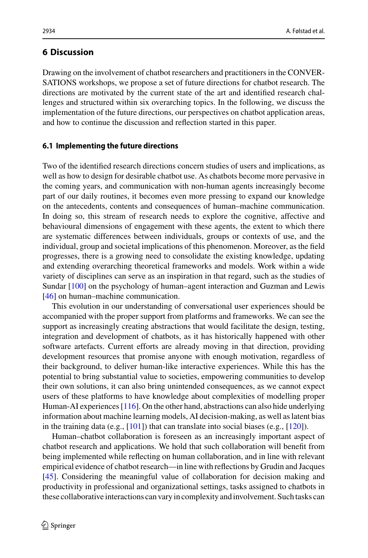## **6 Discussion**

Drawing on the involvement of chatbot researchers and practitioners in the CONVER-SATIONS workshops, we propose a set of future directions for chatbot research. The directions are motivated by the current state of the art and identified research challenges and structured within six overarching topics. In the following, we discuss the implementation of the future directions, our perspectives on chatbot application areas, and how to continue the discussion and reflection started in this paper.

#### **6.1 Implementing the future directions**

Two of the identified research directions concern studies of users and implications, as well as how to design for desirable chatbot use. As chatbots become more pervasive in the coming years, and communication with non-human agents increasingly become part of our daily routines, it becomes even more pressing to expand our knowledge on the antecedents, contents and consequences of human–machine communication. In doing so, this stream of research needs to explore the cognitive, affective and behavioural dimensions of engagement with these agents, the extent to which there are systematic differences between individuals, groups or contexts of use, and the individual, group and societal implications of this phenomenon. Moreover, as the field progresses, there is a growing need to consolidate the existing knowledge, updating and extending overarching theoretical frameworks and models. Work within a wide variety of disciplines can serve as an inspiration in that regard, such as the studies of Sundar [\[100\]](#page-27-23) on the psychology of human–agent interaction and Guzman and Lewis [\[46\]](#page-25-24) on human–machine communication.

This evolution in our understanding of conversational user experiences should be accompanied with the proper support from platforms and frameworks. We can see the support as increasingly creating abstractions that would facilitate the design, testing, integration and development of chatbots, as it has historically happened with other software artefacts. Current efforts are already moving in that direction, providing development resources that promise anyone with enough motivation, regardless of their background, to deliver human-like interactive experiences. While this has the potential to bring substantial value to societies, empowering communities to develop their own solutions, it can also bring unintended consequences, as we cannot expect users of these platforms to have knowledge about complexities of modelling proper Human-AI experiences [\[116\]](#page-28-10). On the other hand, abstractions can also hide underlying information about machine learning models, AI decision-making, as well as latent bias in the training data (e.g.,  $[101]$ ) that can translate into social biases (e.g.,  $[120]$ ).

Human–chatbot collaboration is foreseen as an increasingly important aspect of chatbot research and applications. We hold that such collaboration will benefit from being implemented while reflecting on human collaboration, and in line with relevant empirical evidence of chatbot research—in line with reflections by Grudin and Jacques [\[45\]](#page-25-17). Considering the meaningful value of collaboration for decision making and productivity in professional and organizational settings, tasks assigned to chatbots in these collaborative interactions can vary in complexity and involvement. Such tasks can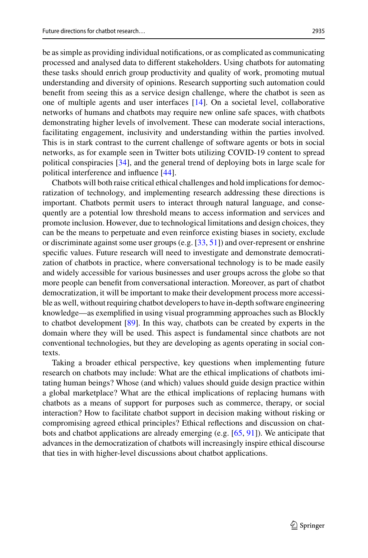be as simple as providing individual notifications, or as complicated as communicating processed and analysed data to different stakeholders. Using chatbots for automating these tasks should enrich group productivity and quality of work, promoting mutual understanding and diversity of opinions. Research supporting such automation could benefit from seeing this as a service design challenge, where the chatbot is seen as one of multiple agents and user interfaces [\[14\]](#page-24-9). On a societal level, collaborative networks of humans and chatbots may require new online safe spaces, with chatbots demonstrating higher levels of involvement. These can moderate social interactions, facilitating engagement, inclusivity and understanding within the parties involved. This is in stark contrast to the current challenge of software agents or bots in social networks, as for example seen in Twitter bots utilizing COVID-19 content to spread political conspiracies [\[34\]](#page-25-25), and the general trend of deploying bots in large scale for political interference and influence [\[44\]](#page-25-26).

Chatbots will both raise critical ethical challenges and hold implications for democratization of technology, and implementing research addressing these directions is important. Chatbots permit users to interact through natural language, and consequently are a potential low threshold means to access information and services and promote inclusion. However, due to technological limitations and design choices, they can be the means to perpetuate and even reinforce existing biases in society, exclude or discriminate against some user groups (e.g. [\[33,](#page-25-20) [51\]](#page-25-21)) and over-represent or enshrine specific values. Future research will need to investigate and demonstrate democratization of chatbots in practice, where conversational technology is to be made easily and widely accessible for various businesses and user groups across the globe so that more people can benefit from conversational interaction. Moreover, as part of chatbot democratization, it will be important to make their development process more accessible as well, without requiring chatbot developers to have in-depth software engineering knowledge—as exemplified in using visual programming approaches such as Blockly to chatbot development [\[89\]](#page-27-19). In this way, chatbots can be created by experts in the domain where they will be used. This aspect is fundamental since chatbots are not conventional technologies, but they are developing as agents operating in social contexts.

Taking a broader ethical perspective, key questions when implementing future research on chatbots may include: What are the ethical implications of chatbots imitating human beings? Whose (and which) values should guide design practice within a global marketplace? What are the ethical implications of replacing humans with chatbots as a means of support for purposes such as commerce, therapy, or social interaction? How to facilitate chatbot support in decision making without risking or compromising agreed ethical principles? Ethical reflections and discussion on chatbots and chatbot applications are already emerging (e.g. [\[65,](#page-26-23) [91\]](#page-27-21)). We anticipate that advances in the democratization of chatbots will increasingly inspire ethical discourse that ties in with higher-level discussions about chatbot applications.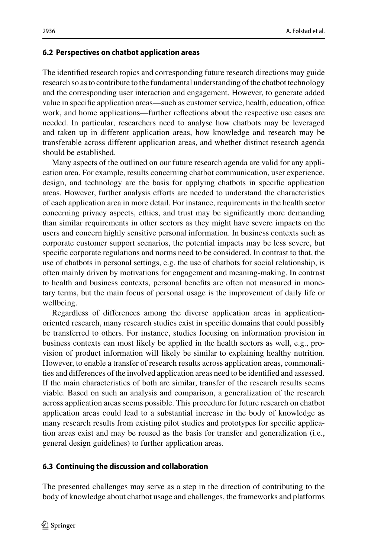#### **6.2 Perspectives on chatbot application areas**

The identified research topics and corresponding future research directions may guide research so as to contribute to the fundamental understanding of the chatbot technology and the corresponding user interaction and engagement. However, to generate added value in specific application areas—such as customer service, health, education, office work, and home applications—further reflections about the respective use cases are needed. In particular, researchers need to analyse how chatbots may be leveraged and taken up in different application areas, how knowledge and research may be transferable across different application areas, and whether distinct research agenda should be established.

Many aspects of the outlined on our future research agenda are valid for any application area. For example, results concerning chatbot communication, user experience, design, and technology are the basis for applying chatbots in specific application areas. However, further analysis efforts are needed to understand the characteristics of each application area in more detail. For instance, requirements in the health sector concerning privacy aspects, ethics, and trust may be significantly more demanding than similar requirements in other sectors as they might have severe impacts on the users and concern highly sensitive personal information. In business contexts such as corporate customer support scenarios, the potential impacts may be less severe, but specific corporate regulations and norms need to be considered. In contrast to that, the use of chatbots in personal settings, e.g. the use of chatbots for social relationship, is often mainly driven by motivations for engagement and meaning-making. In contrast to health and business contexts, personal benefits are often not measured in monetary terms, but the main focus of personal usage is the improvement of daily life or wellbeing.

Regardless of differences among the diverse application areas in applicationoriented research, many research studies exist in specific domains that could possibly be transferred to others. For instance, studies focusing on information provision in business contexts can most likely be applied in the health sectors as well, e.g., provision of product information will likely be similar to explaining healthy nutrition. However, to enable a transfer of research results across application areas, commonalities and differences of the involved application areas need to be identified and assessed. If the main characteristics of both are similar, transfer of the research results seems viable. Based on such an analysis and comparison, a generalization of the research across application areas seems possible. This procedure for future research on chatbot application areas could lead to a substantial increase in the body of knowledge as many research results from existing pilot studies and prototypes for specific application areas exist and may be reused as the basis for transfer and generalization (i.e., general design guidelines) to further application areas.

#### **6.3 Continuing the discussion and collaboration**

The presented challenges may serve as a step in the direction of contributing to the body of knowledge about chatbot usage and challenges, the frameworks and platforms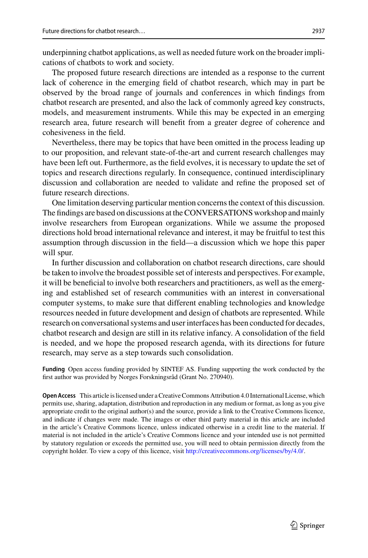underpinning chatbot applications, as well as needed future work on the broader implications of chatbots to work and society.

The proposed future research directions are intended as a response to the current lack of coherence in the emerging field of chatbot research, which may in part be observed by the broad range of journals and conferences in which findings from chatbot research are presented, and also the lack of commonly agreed key constructs, models, and measurement instruments. While this may be expected in an emerging research area, future research will benefit from a greater degree of coherence and cohesiveness in the field.

Nevertheless, there may be topics that have been omitted in the process leading up to our proposition, and relevant state-of-the-art and current research challenges may have been left out. Furthermore, as the field evolves, it is necessary to update the set of topics and research directions regularly. In consequence, continued interdisciplinary discussion and collaboration are needed to validate and refine the proposed set of future research directions.

One limitation deserving particular mention concerns the context of this discussion. The findings are based on discussions at the CONVERSATIONS workshop and mainly involve researchers from European organizations. While we assume the proposed directions hold broad international relevance and interest, it may be fruitful to test this assumption through discussion in the field—a discussion which we hope this paper will spur.

In further discussion and collaboration on chatbot research directions, care should be taken to involve the broadest possible set of interests and perspectives. For example, it will be beneficial to involve both researchers and practitioners, as well as the emerging and established set of research communities with an interest in conversational computer systems, to make sure that different enabling technologies and knowledge resources needed in future development and design of chatbots are represented. While research on conversational systems and user interfaces has been conducted for decades, chatbot research and design are still in its relative infancy. A consolidation of the field is needed, and we hope the proposed research agenda, with its directions for future research, may serve as a step towards such consolidation.

**Funding** Open access funding provided by SINTEF AS. Funding supporting the work conducted by the first author was provided by Norges Forskningsråd (Grant No. 270940).

**Open Access** This article is licensed under a Creative Commons Attribution 4.0 International License, which permits use, sharing, adaptation, distribution and reproduction in any medium or format, as long as you give appropriate credit to the original author(s) and the source, provide a link to the Creative Commons licence, and indicate if changes were made. The images or other third party material in this article are included in the article's Creative Commons licence, unless indicated otherwise in a credit line to the material. If material is not included in the article's Creative Commons licence and your intended use is not permitted by statutory regulation or exceeds the permitted use, you will need to obtain permission directly from the copyright holder. To view a copy of this licence, visit [http://creativecommons.org/licenses/by/4.0/.](http://creativecommons.org/licenses/by/4.0/)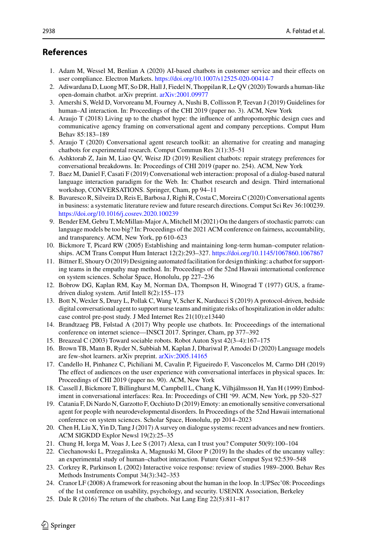# **References**

- <span id="page-24-0"></span>1. Adam M, Wessel M, Benlian A (2020) AI-based chatbots in customer service and their effects on user compliance. Electron Markets. <https://doi.org/10.1007/s12525-020-00414-7>
- <span id="page-24-1"></span>2. Adiwardana D, Luong MT, So DR, Hall J, Fiedel N, Thoppilan R, Le QV (2020) Towards a human-like open-domain chatbot. arXiv preprint. [arXiv:2001.09977](https://arxiv.org/abs/2001.09977)
- <span id="page-24-19"></span>3. Amershi S, Weld D, Vorvoreanu M, Fourney A, Nushi B, Collisson P, Teevan J (2019) Guidelines for human–AI interaction. In: Proceedings of the CHI 2019 (paper no. 3). ACM, New York
- <span id="page-24-13"></span>4. Araujo T (2018) Living up to the chatbot hype: the influence of anthropomorphic design cues and communicative agency framing on conversational agent and company perceptions. Comput Hum Behav 85:183–189
- <span id="page-24-15"></span>5. Araujo T (2020) Conversational agent research toolkit: an alternative for creating and managing chatbots for experimental research. Comput Commun Res 2(1):35–51
- <span id="page-24-7"></span>6. Ashktorab Z, Jain M, Liao QV, Weisz JD (2019) Resilient chatbots: repair strategy preferences for conversational breakdowns. In: Proceedings of CHI 2019 (paper no. 254). ACM, New York
- <span id="page-24-18"></span>7. Baez M, Daniel F, Casati F (2019) Conversational web interaction: proposal of a dialog-based natural language interaction paradigm for the Web. In: Chatbot research and design. Third international workshop, CONVERSATIONS. Springer, Cham, pp 94–11
- <span id="page-24-11"></span>8. Bavaresco R, Silveira D, Reis E, Barbosa J, Righi R, Costa C, Moreira C (2020) Conversational agents in business: a systematic literature review and future research directions. Comput Sci Rev 36:100239. <https://doi.org/10.1016/j.cosrev.2020.100239>
- <span id="page-24-17"></span>9. Bender EM, Gebru T, McMillan-Major A, Mitchell M (2021) On the dangers of stochastic parrots: can language models be too big? In: Proceedings of the 2021 ACM conference on fairness, accountability, and transparency. ACM, New York, pp 610–623
- <span id="page-24-12"></span>10. Bickmore T, Picard RW (2005) Establishing and maintaining long-term human–computer relationships. ACM Trans Comput Hum Interact 12(2):293–327. <https://doi.org/10.1145/1067860.1067867>
- <span id="page-24-20"></span>11. Bittner E, Shoury O (2019) Designing automated facilitation for design thinking: a chatbot for supporting teams in the empathy map method. In: Proceedings of the 52nd Hawaii international conference on system sciences. Scholar Space, Honolulu, pp 227–236
- <span id="page-24-2"></span>12. Bobrow DG, Kaplan RM, Kay M, Norman DA, Thompson H, Winograd T (1977) GUS, a framedriven dialog system. Artif Intell 8(2):155–173
- <span id="page-24-22"></span>13. Bott N, Wexler S, Drury L, Pollak C, Wang V, Scher K, Narducci S (2019) A protocol-driven, bedside digital conversational agent to support nurse teams and mitigate risks of hospitalization in older adults: case control pre-post study. J Med Internet Res 21(10):e13440
- <span id="page-24-9"></span>14. Brandtzaeg PB, Følstad A (2017) Why people use chatbots. In: Proceeedings of the international conference on internet science—INSCI 2017. Springer, Cham, pp 377–392
- <span id="page-24-3"></span>15. Breazeal C (2003) Toward sociable robots. Robot Auton Syst 42(3–4):167–175
- <span id="page-24-16"></span>16. Brown TB, Mann B, Ryder N, Subbiah M, Kaplan J, Dhariwal P, Amodei D (2020) Language models are few-shot learners. arXiv preprint. [arXiv:2005.14165](https://arxiv.org/abs/2005.14165)
- <span id="page-24-10"></span>17. Candello H, Pinhanez C, Pichiliani M, Cavalin P, Figueiredo F, Vasconcelos M, Carmo DH (2019) The effect of audiences on the user experience with conversational interfaces in physical spaces. In: Proceedings of CHI 2019 (paper no. 90). ACM, New York
- <span id="page-24-4"></span>18. Cassell J, Bickmore T, Billinghurst M, Campbell L, Chang K, Vilhjálmsson H, Yan H (1999) Embodiment in conversational interfaces: Rea. In: Proceedings of CHI '99. ACM, New York, pp 520–527
- <span id="page-24-23"></span>19. Catania F, Di Nardo N, Garzotto F, Occhiuto D (2019) Emoty: an emotionally sensitive conversational agent for people with neurodevelopmental disorders. In Proceedings of the 52nd Hawaii international conference on system sciences. Scholar Space, Honolulu, pp 2014–2023
- <span id="page-24-8"></span>20. Chen H, Liu X, Yin D, Tang J (2017) A survey on dialogue systems: recent advances and new frontiers. ACM SIGKDD Explor Newsl 19(2):25–35
- <span id="page-24-24"></span>21. Chung H, Iorga M, Voas J, Lee S (2017) Alexa, can I trust you? Computer 50(9):100–104
- <span id="page-24-14"></span>22. Ciechanowski L, Przegalinska A, Magnuski M, Gloor P (2019) In the shades of the uncanny valley: an experimental study of human–chatbot interaction. Future Gener Comput Syst 92:539–548
- <span id="page-24-5"></span>23. Corkrey R, Parkinson L (2002) Interactive voice response: review of studies 1989–2000. Behav Res Methods Instruments Comput 34(3):342–353
- <span id="page-24-21"></span>24. Cranor LF (2008) A framework for reasoning about the human in the loop. In :UPSec'08: Proceedings of the 1st conference on usability, psychology, and security. USENIX Association, Berkeley
- <span id="page-24-6"></span>25. Dale R (2016) The return of the chatbots. Nat Lang Eng 22(5):811–817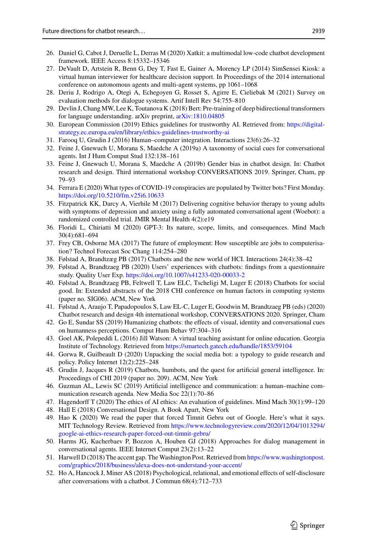- <span id="page-25-3"></span>26. Daniel G, Cabot J, Deruelle L, Derras M (2020) Xatkit: a multimodal low-code chatbot development framework. IEEE Access 8:15332–15346
- <span id="page-25-11"></span>27. DeVault D, Artstein R, Benn G, Dey T, Fast E, Gainer A, Morency LP (2014) SimSensei Kiosk: a virtual human interviewer for healthcare decision support. In Proceedings of the 2014 international conference on autonomous agents and multi-agent systems, pp 1061–1068
- <span id="page-25-12"></span>28. Deriu J, Rodrigo A, Otegi A, Echegoyen G, Rosset S, Agirre E, Cieliebak M (2021) Survey on evaluation methods for dialogue systems. Artif Intell Rev 54:755–810
- <span id="page-25-14"></span>29. Devlin J, Chang MW, Lee K, Toutanova K (2018) Bert: Pre-training of deep bidirectional transformers for language understanding. arXiv preprint, [arXiv:1810.04805](https://arxiv.org/abs/1810.04805)
- <span id="page-25-23"></span>30. [European Commission \(2019\) Ethics guidelines for trustworthy AI. Retrieved from:](https://digital-strategy.ec.europa.eu/en/library/ethics-guidelines-trustworthy-ai) https://digitalstrategy.ec.europa.eu/en/library/ethics-guidelines-trustworthy-ai
- <span id="page-25-18"></span>31. Farooq U, Grudin J (2016) Human–computer integration. Interactions 23(6):26–32
- <span id="page-25-8"></span>32. Feine J, Gnewuch U, Morana S, Maedche A (2019a) A taxonomy of social cues for conversational agents. Int J Hum Comput Stud 132:138–161
- <span id="page-25-20"></span>33. Feine J, Gnewuch U, Morana S, Maedche A (2019b) Gender bias in chatbot design. In: Chatbot research and design. Third international workshop CONVERSATIONS 2019. Springer, Cham, pp 79–93
- <span id="page-25-25"></span>34. Ferrara E (2020) What types of COVID-19 conspiracies are populated by Twitter bots? First Monday. <https://doi.org/10.5210/fm.v25i6.10633>
- <span id="page-25-5"></span>35. Fitzpatrick KK, Darcy A, Vierhile M (2017) Delivering cognitive behavior therapy to young adults with symptoms of depression and anxiety using a fully automated conversational agent (Woebot): a randomized controlled trial. JMIR Mental Health 4(2):e19
- <span id="page-25-13"></span>36. Floridi L, Chiriatti M (2020) GPT-3: Its nature, scope, limits, and consequences. Mind Mach 30(4):681–694
- <span id="page-25-7"></span>37. Frey CB, Osborne MA (2017) The future of employment: How susceptible are jobs to computerisation? Technol Forecast Soc Chang 114:254–280
- <span id="page-25-0"></span>38. Følstad A, Brandtzæg PB (2017) Chatbots and the new world of HCI. Interactions 24(4):38–42
- <span id="page-25-1"></span>39. Følstad A, Brandtzaeg PB (2020) Users' experiences with chatbots: findings from a questionnaire study. Quality User Exp. <https://doi.org/10.1007/s41233-020-00033-2>
- <span id="page-25-22"></span>40. Følstad A, Brandtzaeg PB, Feltwell T, Law ELC, Tscheligi M, Luger E (2018) Chatbots for social good. In: Extended abstracts of the 2018 CHI conference on human factors in computing systems (paper no. SIG06). ACM, New York
- <span id="page-25-6"></span>41. Følstad A, Araujo T, Papadopoulos S, Law EL-C, Luger E, Goodwin M, Brandtzaeg PB (eds) (2020) Chatbot research and design 4th international workshop, CONVERSATIONS 2020. Springer, Cham
- <span id="page-25-4"></span>42. Go E, Sundar SS (2019) Humanizing chatbots: the effects of visual, identity and conversational cues on humanness perceptions. Comput Hum Behav 97:304–316
- <span id="page-25-16"></span>43. Goel AK, Polepeddi L (2016) Jill Watson: A virtual teaching assistant for online education. Georgia Institute of Technology. Retrieved from <https://smartech.gatech.edu/handle/1853/59104>
- <span id="page-25-26"></span>44. Gorwa R, Guilbeault D (2020) Unpacking the social media bot: a typology to guide research and policy. Policy Internet 12(2):225–248
- <span id="page-25-17"></span>45. Grudin J, Jacques R (2019) Chatbots, humbots, and the quest for artificial general intelligence. In: Proceedings of CHI 2019 (paper no. 209). ACM, New York
- <span id="page-25-24"></span>46. Guzman AL, Lewis SC (2019) Artificial intelligence and communication: a human–machine communication research agenda. New Media Soc 22(1):70–86
- <span id="page-25-19"></span>47. Hagendorff T (2020) The ethics of AI ethics: An evaluation of guidelines. Mind Mach 30(1):99–120
- <span id="page-25-9"></span>48. Hall E (2018) Conversational Design. A Book Apart, New York
- <span id="page-25-15"></span>49. Hao K (2020) We read the paper that forced Timnit Gebru out of Google. Here's what it says. MIT Technology Review. Retrieved from [https://www.technologyreview.com/2020/12/04/1013294/](https://www.technologyreview.com/2020/12/04/1013294/google-ai-ethics-research-paper-forced-out-timnit-gebru/) google-ai-ethics-research-paper-forced-out-timnit-gebru/
- <span id="page-25-2"></span>50. Harms JG, Kucherbaev P, Bozzon A, Houben GJ (2018) Approaches for dialog management in conversational agents. IEEE Internet Comput 23(2):13–22
- <span id="page-25-21"></span>51. [Harwell D \(2018\) The accent gap. The Washington Post. Retrieved from](https://www.washingtonpost.com/graphics/2018/business/alexa-does-not-understand-your-accent/) https://www.washingtonpost. com/graphics/2018/business/alexa-does-not-understand-your-accent/
- <span id="page-25-10"></span>52. Ho A, Hancock J, Miner AS (2018) Psychological, relational, and emotional effects of self-disclosure after conversations with a chatbot. J Commun 68(4):712–733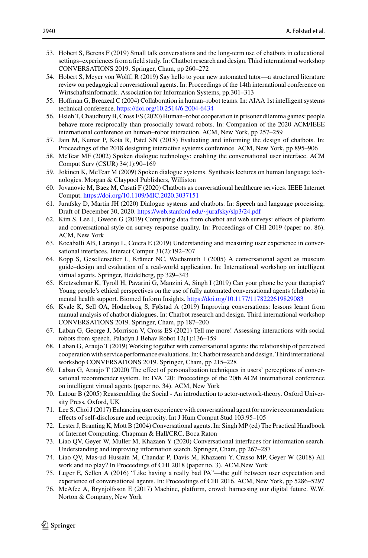- <span id="page-26-0"></span>53. Hobert S, Berens F (2019) Small talk conversations and the long-term use of chatbots in educational settings–experiences from a field study. In: Chatbot research and design. Third international workshop CONVERSATIONS 2019. Springer, Cham, pp 260–272
- <span id="page-26-6"></span>54. Hobert S, Meyer von Wolff, R (2019) Say hello to your new automated tutor—a structured literature review on pedagogical conversational agents. In: Proceedings of the 14th international conference on Wirtschaftsinformatik. Association for Information Systems, pp.301–313
- <span id="page-26-19"></span>55. Hoffman G, Breazeal C (2004) Collaboration in human–robot teams. In: AIAA 1st intelligent systems technical conference. <https://doi.org/10.2514/6.2004-6434>
- <span id="page-26-18"></span>56. Hsieh T, Chaudhury B, Cross ES (2020) Human–robot cooperation in prisoner dilemma games: people behave more reciprocally than prosocially toward robots. In: Companion of the 2020 ACM/IEEE international conference on human–robot interaction. ACM, New York, pp 257–259
- <span id="page-26-2"></span>57. Jain M, Kumar P, Kota R, Patel SN (2018) Evaluating and informing the design of chatbots. In: Proceedings of the 2018 designing interactive systems conference. ACM, New York, pp 895–906
- <span id="page-26-22"></span>58. McTear MF (2002) Spoken dialogue technology: enabling the conversational user interface. ACM Comput Surv (CSUR) 34(1):90–169
- <span id="page-26-4"></span>59. Jokinen K, McTear M (2009) Spoken dialogue systems. Synthesis lectures on human language technologies. Morgan & Claypool Publishers, Williston
- <span id="page-26-17"></span>60. Jovanovic M, Baez M, Casati F (2020) Chatbots as conversational healthcare services. IEEE Internet Comput. <https://doi.org/10.1109/MIC.2020.3037151>
- <span id="page-26-7"></span>61. Jurafsky D, Martin JH (2020) Dialogue systems and chatbots. In: Speech and language processing. Draft of December 30, 2020. <https://web.stanford.edu/~jurafsky/slp3/24.pdf>
- <span id="page-26-9"></span>62. Kim S, Lee J, Gweon G (2019) Comparing data from chatbot and web surveys: effects of platform and conversational style on survey response quality. In: Proceedings of CHI 2019 (paper no. 86). ACM, New York
- <span id="page-26-3"></span>63. Kocaballi AB, Laranjo L, Coiera E (2019) Understanding and measuring user experience in conversational interfaces. Interact Comput 31(2):192–207
- <span id="page-26-11"></span>64. Kopp S, Gesellensetter L, Krämer NC, Wachsmuth I (2005) A conversational agent as museum guide–design and evaluation of a real-world application. In: International workshop on intelligent virtual agents. Springer, Heidelberg, pp 329–343
- <span id="page-26-23"></span>65. Kretzschmar K, Tyroll H, Pavarini G, Manzini A, Singh I (2019) Can your phone be your therapist? Young people's ethical perspectives on the use of fully automated conversational agents (chatbots) in mental health support. Biomed Inform Insights. <https://doi.org/10.1177/1178222619829083>
- <span id="page-26-8"></span>66. Kvale K, Sell OA, Hodnebrog S, Følstad A (2019) Improving conversations: lessons learnt from manual analysis of chatbot dialogues. In: Chatbot research and design. Third international workshop CONVERSATIONS 2019. Springer, Cham, pp 187–200
- <span id="page-26-16"></span>67. Laban G, George J, Morrison V, Cross ES (2021) Tell me more! Assessing interactions with social robots from speech. Paladyn J Behav Robot 12(1):136–159
- <span id="page-26-20"></span>68. Laban G, Araujo T (2019) Working together with conversational agents: the relationship of perceived cooperation with service performance evaluations. In: Chatbot research and design. Third international workshop CONVERSATIONS 2019. Springer, Cham, pp 215–228
- <span id="page-26-15"></span>69. Laban G, Araujo T (2020) The effect of personalization techniques in users' perceptions of conversational recommender system. In: IVA '20: Proceedings of the 20th ACM international conference on intelligent virtual agents (paper no. 34). ACM, New York
- <span id="page-26-21"></span>70. Latour B (2005) Reassembling the Social - An introduction to actor-network-theory. Oxford University Press, Oxford, UK
- <span id="page-26-14"></span>71. Lee S, Choi J (2017) Enhancing user experience with conversational agent for movie recommendation: effects of self-disclosure and reciprocity. Int J Hum Comput Stud 103:95–105
- <span id="page-26-5"></span>72. Lester J, Branting K, Mott B (2004) Conversational agents. In: Singh MP (ed) The Practical Handbook of Internet Computing. Chapman & Hall/CRC, Boca Raton
- <span id="page-26-10"></span>73. Liao QV, Geyer W, Muller M, Khazaen Y (2020) Conversational interfaces for information search. Understanding and improving information search. Springer, Cham, pp 267–287
- <span id="page-26-1"></span>74. Liao QV, Mas-ud Hussain M, Chandar P, Davis M, Khazaeni Y, Crasso MP, Geyer W (2018) All work and no play? In Proceedings of CHI 2018 (paper no. 3). ACM,New York
- <span id="page-26-13"></span>75. Luger E, Sellen A (2016) "Like having a really bad PA"—the gulf between user expectation and experience of conversational agents. In: Proceedings of CHI 2016. ACM, New York, pp 5286–5297
- <span id="page-26-12"></span>76. McAfee A, Brynjolfsson E (2017) Machine, platform, crowd: harnessing our digital future. W.W. Norton & Company, New York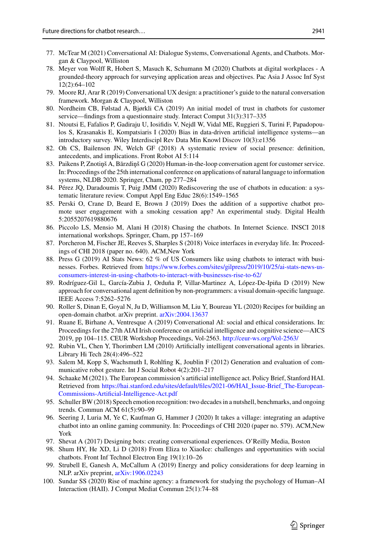- <span id="page-27-0"></span>77. McTear M (2021) Conversational AI: Dialogue Systems, Conversational Agents, and Chatbots. Morgan & Claypool, Williston
- <span id="page-27-1"></span>78. Meyer von Wolff R, Hobert S, Masuch K, Schumann M (2020) Chatbots at digital workplaces - A grounded-theory approach for surveying application areas and objectives. Pac Asia J Assoc Inf Syst 12(2):64–102
- <span id="page-27-7"></span>79. Moore RJ, Arar R (2019) Conversational UX design: a practitioner's guide to the natural conversation framework. Morgan & Claypool, Williston
- <span id="page-27-15"></span>80. Nordheim CB, Følstad A, Bjørkli CA (2019) An initial model of trust in chatbots for customer service—findings from a questionnaire study. Interact Comput 31(3):317–335
- <span id="page-27-20"></span>81. Ntoutsi E, Fafalios P, Gadiraju U, Iosifidis V, Nejdl W, Vidal ME, Ruggieri S, Turini F, Papadopoulos S, Krasanakis E, Kompatsiaris I (2020) Bias in data-driven artificial intelligence systems—an introductory survey. Wiley Interdiscipl Rev Data Min Knowl Discov 10(3):e1356
- <span id="page-27-14"></span>82. Oh CS, Bailenson JN, Welch GF (2018) A systematic review of social presence: definition, antecedents, and implications. Front Robot AI 5:114
- <span id="page-27-17"></span>83. Paikens P, Znotiņš A, Bārzdiņš G (2020) Human-in-the-loop conversation agent for customer service. In: Proceedings of the 25th international conference on applications of natural language to information systems, NLDB 2020. Springer, Cham, pp 277–284
- <span id="page-27-11"></span>84. Pérez JQ, Daradoumis T, Puig JMM (2020) Rediscovering the use of chatbots in education: a systematic literature review. Comput Appl Eng Educ 28(6):1549–1565
- <span id="page-27-18"></span>85. Perski O, Crane D, Beard E, Brown J (2019) Does the addition of a supportive chatbot promote user engagement with a smoking cessation app? An experimental study. Digital Health 5:2055207619880676
- <span id="page-27-2"></span>86. Piccolo LS, Mensio M, Alani H (2018) Chasing the chatbots. In Internet Science. INSCI 2018 international workshops. Springer, Cham, pp 157–169
- <span id="page-27-10"></span>87. Porcheron M, Fischer JE, Reeves S, Sharples S (2018) Voice interfaces in everyday life. In: Proceedings of CHI 2018 (paper no. 640). ACM,New York
- <span id="page-27-9"></span>88. Press G (2019) AI Stats News: 62 % of US Consumers like using chatbots to interact with businesses. Forbes. Retrieved from https://www.forbes.com/sites/gilpress/2019/10/25/ai-stats-news-us[consumers-interest-in-using-chatbots-to-interact-with-businesses-rise-to-62/](https://www.forbes.com/sites/gilpress/2019/10/25/ai-stats-news-us-consumers-interest-in-using-chatbots-to-interact-with-businesses-rise-to-62/)
- <span id="page-27-19"></span>89. Rodríguez-Gil L, García-Zubia J, Orduña P, Villar-Martinez A, López-De-Ipiña D (2019) New approach for conversational agent definition by non-programmers: a visual domain-specific language. IEEE Access 7:5262–5276
- <span id="page-27-6"></span>90. Roller S, Dinan E, Goyal N, Ju D, Williamson M, Liu Y, Boureau YL (2020) Recipes for building an open-domain chatbot. arXiv preprint. [arXiv:2004.13637](https://arxiv.org/abs/2004.13637)
- <span id="page-27-21"></span>91. Ruane E, Birhane A, Ventresque A (2019) Conversational AI: social and ethical considerations. In: Proceedings for the 27th AIAI Irish conference on artificial intelligence and cognitive science—AICS 2019, pp 104–115. CEUR Workshop Proceedings, Vol-2563. <http://ceur-ws.org/Vol-2563/>
- <span id="page-27-12"></span>92. Rubin VL, Chen Y, Thorimbert LM (2010) Artificially intelligent conversational agents in libraries. Library Hi Tech 28(4):496–522
- <span id="page-27-8"></span>93. Salem M, Kopp S, Wachsmuth I, Rohlfing K, Joublin F (2012) Generation and evaluation of communicative robot gesture. Int J Social Robot 4(2):201–217
- <span id="page-27-22"></span>94. Schaake M (2021). The European commission's artificial intelligence act. Policy Brief, Stanford HAI. Retrieved from [https://hai.stanford.edu/sites/default/files/2021-06/HAI\\_Issue-Brief\\_The-European-](https://hai.stanford.edu/sites/default/files/2021-06/HAI_Issue-Brief_The-European-Commissions-Artificial-Intelligence-Act.pdf)Commissions-Artificial-Intelligence-Act.pdf
- <span id="page-27-13"></span>95. Schuller BW (2018) Speech emotion recognition: two decades in a nutshell, benchmarks, and ongoing trends. Commun ACM 61(5):90–99
- <span id="page-27-3"></span>96. Seering J, Luria M, Ye C, Kaufman G, Hammer J (2020) It takes a village: integrating an adaptive chatbot into an online gaming community. In: Proceedings of CHI 2020 (paper no. 579). ACM,New York
- <span id="page-27-5"></span>97. Shevat A (2017) Designing bots: creating conversational experiences. O'Reilly Media, Boston
- <span id="page-27-4"></span>98. Shum HY, He XD, Li D (2018) From Eliza to XiaoIce: challenges and opportunities with social chatbots. Front Inf Technol Electron Eng 19(1):10–26
- <span id="page-27-16"></span>99. Strubell E, Ganesh A, McCallum A (2019) Energy and policy considerations for deep learning in NLP. arXiv preprint, [arXiv:1906.02243](https://arxiv.org/abs/1906.02243)
- <span id="page-27-23"></span>100. Sundar SS (2020) Rise of machine agency: a framework for studying the psychology of Human–AI Interaction (HAII). J Comput Mediat Commun 25(1):74–88